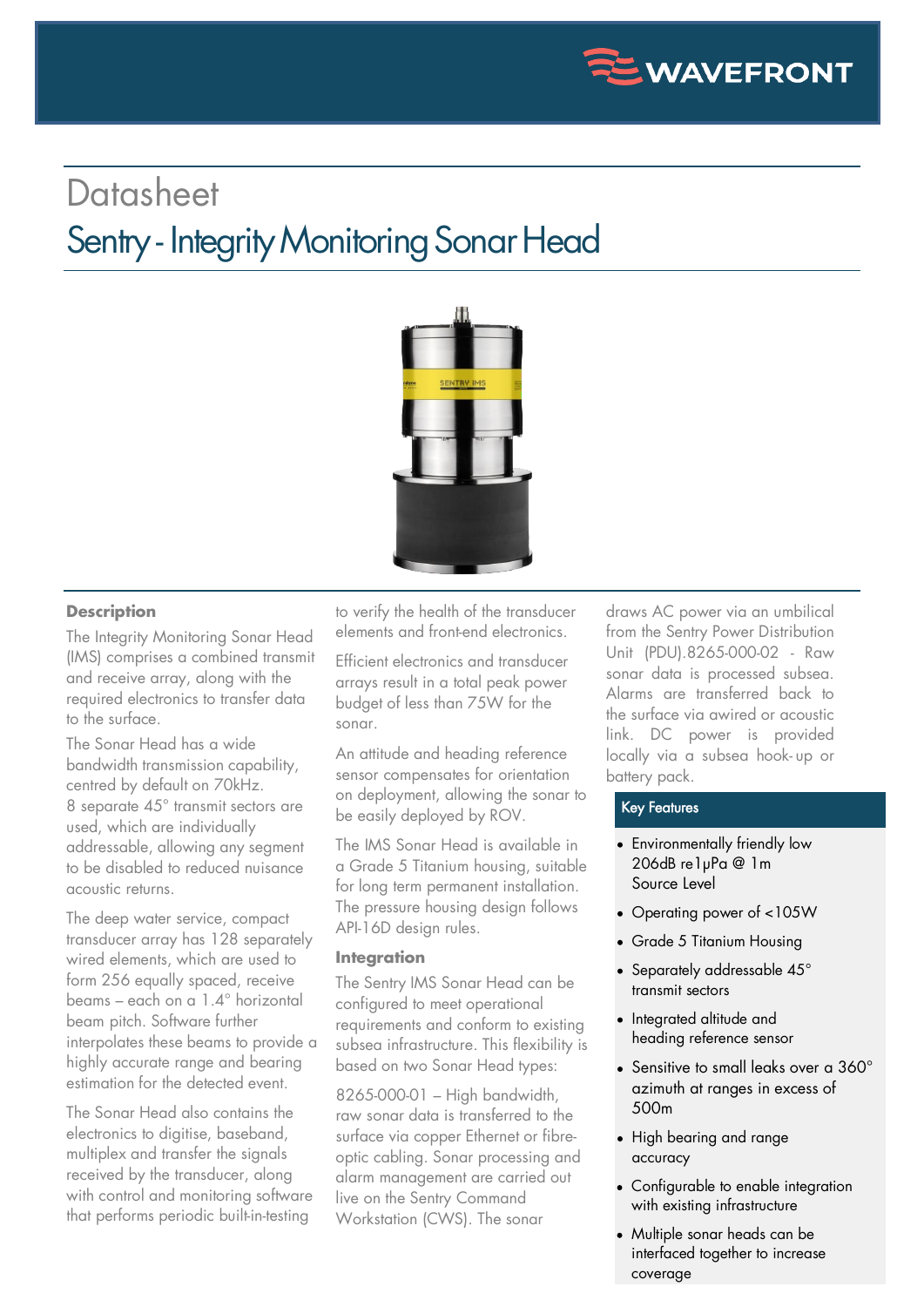

# **Datasheet** Sentry - Integrity Monitoring Sonar Head



### **Description**

The Integrity Monitoring Sonar Head (IMS) comprises a combined transmit and receive array, along with the required electronics to transfer data to the surface.

The Sonar Head has a wide bandwidth transmission capability, centred by default on 70kHz. 8 separate 45° transmit sectors are used, which are individually addressable, allowing any segment to be disabled to reduced nuisance acoustic returns.

The deep water service, compact transducer array has 128 separately wired elements, which are used to form 256 equally spaced, receive beams – each on a 1.4° horizontal beam pitch. Software further interpolates these beams to provide a highly accurate range and bearing estimation for the detected event.

The Sonar Head also contains the electronics to digitise, baseband, multiplex and transfer the signals received by the transducer, along with control and monitoring software that performs periodic built-in-testing

to verify the health of the transducer elements and front-end electronics.

Efficient electronics and transducer arrays result in a total peak power budget of less than 75W for the sonar.

An attitude and heading reference sensor compensates for orientation on deployment, allowing the sonar to be easily deployed by ROV.

The IMS Sonar Head is available in a Grade 5 Titanium housing, suitable for long term permanent installation. The pressure housing design follows API-16D design rules.

#### **Integration**

The Sentry IMS Sonar Head can be configured to meet operational requirements and conform to existing subsea infrastructure. This flexibility is based on two Sonar Head types:

8265-000-01 – High bandwidth, raw sonar data is transferred to the surface via copper Ethernet or fibreoptic cabling. Sonar processing and alarm management are carried out live on the Sentry Command Workstation (CWS). The sonar

draws AC power via an umbilical from the Sentry Power Distribution Unit (PDU).8265-000-02 - Raw sonar data is processed subsea. Alarms are transferred back to the surface via awired or acoustic link. DC power is provided locally via a subsea hook- up or battery pack.

### Key Features

- Environmentally friendly low 206dB re1µPa @ 1m Source Level
- Operating power of <105W
- Grade 5 Titanium Housing
- Separately addressable 45° transmit sectors
- Integrated altitude and heading reference sensor
- Sensitive to small leaks over a  $360^\circ$ azimuth at ranges in excess of 500m
- High bearing and range accuracy
- Configurable to enable integration with existing infrastructure
- Multiple sonar heads can be interfaced together to increase coverage